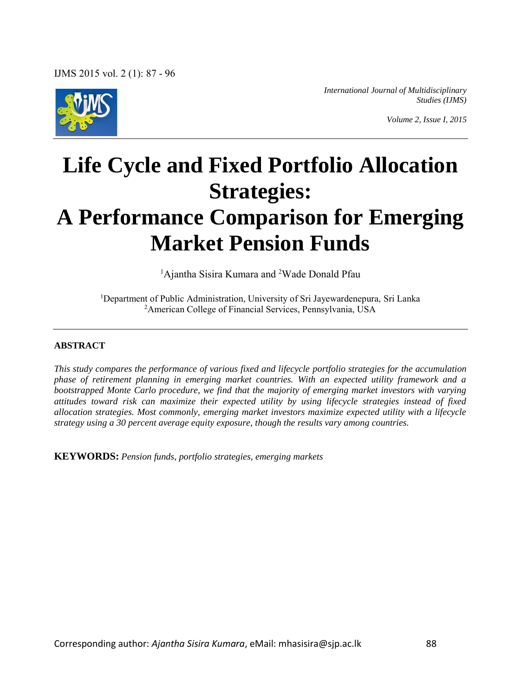

*International Journal of Multidisciplinary Studies (IJMS)* 

*Volume 2, Issue I, 2015* 

# **Life Cycle and Fixed Portfolio Allocation Strategies: A Performance Comparison for Emerging Market Pension Funds**

<sup>1</sup>Ajantha Sisira Kumara and <sup>2</sup>Wade Donald Pfau

<sup>1</sup>Department of Public Administration, University of Sri Jayewardenepura, Sri Lanka <sup>2</sup>American College of Financial Services, Pennsylvania, USA

#### **ABSTRACT**

*This study compares the performance of various fixed and lifecycle portfolio strategies for the accumulation phase of retirement planning in emerging market countries. With an expected utility framework and a bootstrapped Monte Carlo procedure, we find that the majority of emerging market investors with varying attitudes toward risk can maximize their expected utility by using lifecycle strategies instead of fixed allocation strategies. Most commonly, emerging market investors maximize expected utility with a lifecycle strategy using a 30 percent average equity exposure, though the results vary among countries.*

**KEYWORDS:** *Pension funds, portfolio strategies, emerging markets*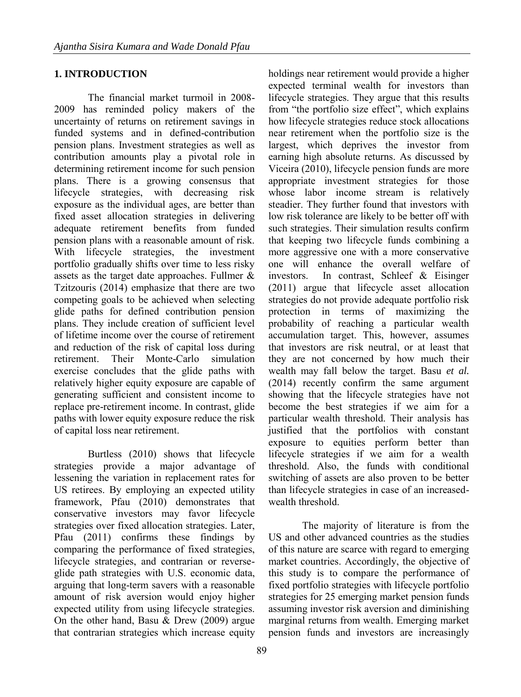## **1. INTRODUCTION**

The financial market turmoil in 2008- 2009 has reminded policy makers of the uncertainty of returns on retirement savings in funded systems and in defined-contribution pension plans. Investment strategies as well as contribution amounts play a pivotal role in determining retirement income for such pension plans. There is a growing consensus that lifecycle strategies, with decreasing risk exposure as the individual ages, are better than fixed asset allocation strategies in delivering adequate retirement benefits from funded pension plans with a reasonable amount of risk. With lifecycle strategies, the investment portfolio gradually shifts over time to less risky assets as the target date approaches. Fullmer & Tzitzouris (2014) emphasize that there are two competing goals to be achieved when selecting glide paths for defined contribution pension plans. They include creation of sufficient level of lifetime income over the course of retirement and reduction of the risk of capital loss during retirement. Their Monte-Carlo simulation exercise concludes that the glide paths with relatively higher equity exposure are capable of generating sufficient and consistent income to replace pre-retirement income. In contrast, glide paths with lower equity exposure reduce the risk of capital loss near retirement.

Burtless (2010) shows that lifecycle strategies provide a major advantage of lessening the variation in replacement rates for US retirees. By employing an expected utility framework, Pfau (2010) demonstrates that conservative investors may favor lifecycle strategies over fixed allocation strategies. Later, Pfau (2011) confirms these findings by comparing the performance of fixed strategies, lifecycle strategies, and contrarian or reverseglide path strategies with U.S. economic data, arguing that long-term savers with a reasonable amount of risk aversion would enjoy higher expected utility from using lifecycle strategies. On the other hand, Basu & Drew (2009) argue that contrarian strategies which increase equity holdings near retirement would provide a higher expected terminal wealth for investors than lifecycle strategies. They argue that this results from "the portfolio size effect", which explains how lifecycle strategies reduce stock allocations near retirement when the portfolio size is the largest, which deprives the investor from earning high absolute returns. As discussed by Viceira (2010), lifecycle pension funds are more appropriate investment strategies for those whose labor income stream is relatively steadier. They further found that investors with low risk tolerance are likely to be better off with such strategies. Their simulation results confirm that keeping two lifecycle funds combining a more aggressive one with a more conservative one will enhance the overall welfare of investors. In contrast, Schleef & Eisinger (2011) argue that lifecycle asset allocation strategies do not provide adequate portfolio risk protection in terms of maximizing the probability of reaching a particular wealth accumulation target. This, however, assumes that investors are risk neutral, or at least that they are not concerned by how much their wealth may fall below the target. Basu *et al.* (2014) recently confirm the same argument showing that the lifecycle strategies have not become the best strategies if we aim for a particular wealth threshold. Their analysis has justified that the portfolios with constant exposure to equities perform better than lifecycle strategies if we aim for a wealth threshold. Also, the funds with conditional switching of assets are also proven to be better than lifecycle strategies in case of an increasedwealth threshold.

The majority of literature is from the US and other advanced countries as the studies of this nature are scarce with regard to emerging market countries. Accordingly, the objective of this study is to compare the performance of fixed portfolio strategies with lifecycle portfolio strategies for 25 emerging market pension funds assuming investor risk aversion and diminishing marginal returns from wealth. Emerging market pension funds and investors are increasingly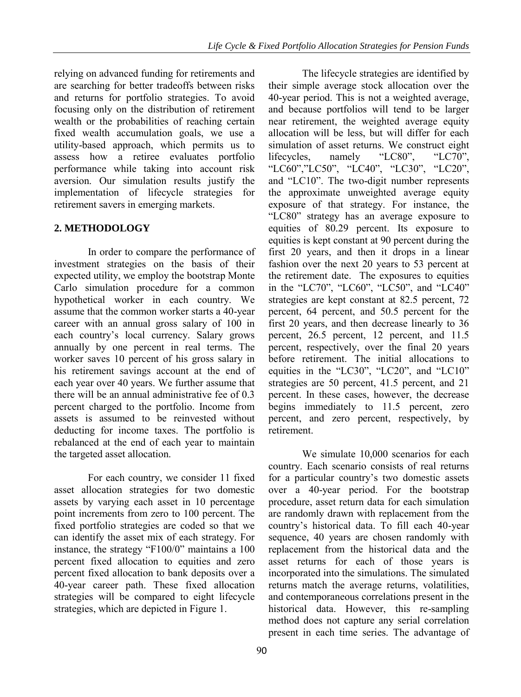relying on advanced funding for retirements and are searching for better tradeoffs between risks and returns for portfolio strategies. To avoid focusing only on the distribution of retirement wealth or the probabilities of reaching certain fixed wealth accumulation goals, we use a utility-based approach, which permits us to assess how a retiree evaluates portfolio performance while taking into account risk aversion. Our simulation results justify the implementation of lifecycle strategies for retirement savers in emerging markets.

## **2. METHODOLOGY**

In order to compare the performance of investment strategies on the basis of their expected utility, we employ the bootstrap Monte Carlo simulation procedure for a common hypothetical worker in each country. We assume that the common worker starts a 40-year career with an annual gross salary of 100 in each country's local currency. Salary grows annually by one percent in real terms. The worker saves 10 percent of his gross salary in his retirement savings account at the end of each year over 40 years. We further assume that there will be an annual administrative fee of 0.3 percent charged to the portfolio. Income from assets is assumed to be reinvested without deducting for income taxes. The portfolio is rebalanced at the end of each year to maintain the targeted asset allocation.

For each country, we consider 11 fixed asset allocation strategies for two domestic assets by varying each asset in 10 percentage point increments from zero to 100 percent. The fixed portfolio strategies are coded so that we can identify the asset mix of each strategy. For instance, the strategy "F100/0" maintains a 100 percent fixed allocation to equities and zero percent fixed allocation to bank deposits over a 40-year career path. These fixed allocation strategies will be compared to eight lifecycle strategies, which are depicted in Figure 1.

The lifecycle strategies are identified by their simple average stock allocation over the 40-year period. This is not a weighted average, and because portfolios will tend to be larger near retirement, the weighted average equity allocation will be less, but will differ for each simulation of asset returns. We construct eight<br>lifecveles. namely "LC80". "LC70". lifecycles, namely "LC80", "LC70", "LC60","LC50", "LC40", "LC30", "LC20", and "LC10". The two-digit number represents the approximate unweighted average equity exposure of that strategy. For instance, the "LC80" strategy has an average exposure to equities of 80.29 percent. Its exposure to equities is kept constant at 90 percent during the first 20 years, and then it drops in a linear fashion over the next 20 years to 53 percent at the retirement date. The exposures to equities in the "LC70", "LC60", "LC50", and "LC40" strategies are kept constant at 82.5 percent, 72 percent, 64 percent, and 50.5 percent for the first 20 years, and then decrease linearly to 36 percent, 26.5 percent, 12 percent, and 11.5 percent, respectively, over the final 20 years before retirement. The initial allocations to equities in the "LC30", "LC20", and "LC10" strategies are 50 percent, 41.5 percent, and 21 percent. In these cases, however, the decrease begins immediately to 11.5 percent, zero percent, and zero percent, respectively, by retirement.

We simulate 10,000 scenarios for each country. Each scenario consists of real returns for a particular country's two domestic assets over a 40-year period. For the bootstrap procedure, asset return data for each simulation are randomly drawn with replacement from the country's historical data. To fill each 40-year sequence, 40 years are chosen randomly with replacement from the historical data and the asset returns for each of those years is incorporated into the simulations. The simulated returns match the average returns, volatilities, and contemporaneous correlations present in the historical data. However, this re-sampling method does not capture any serial correlation present in each time series. The advantage of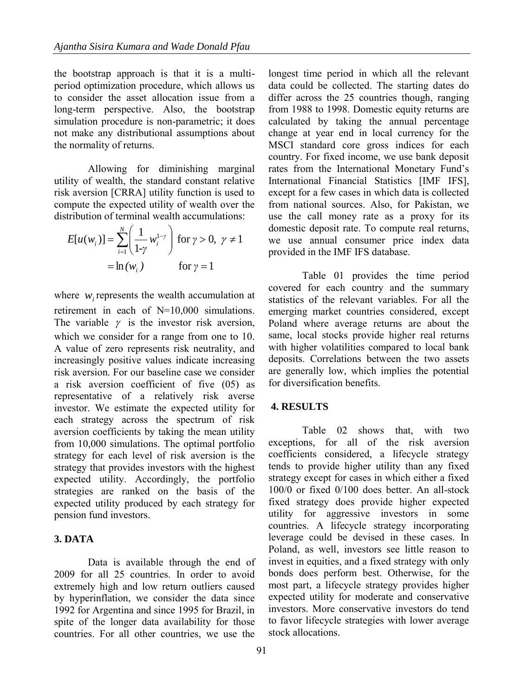the bootstrap approach is that it is a multiperiod optimization procedure, which allows us to consider the asset allocation issue from a long-term perspective. Also, the bootstrap simulation procedure is non-parametric; it does not make any distributional assumptions about the normality of returns.

Allowing for diminishing marginal utility of wealth, the standard constant relative risk aversion [CRRA] utility function is used to compute the expected utility of wealth over the distribution of terminal wealth accumulations:

$$
E[u(w_i)] = \sum_{i=1}^{N} \left(\frac{1}{1-\gamma} w_i^{1-\gamma}\right) \text{ for } \gamma > 0, \ \gamma \neq 1
$$

$$
= \ln(w_i) \qquad \text{for } \gamma = 1
$$

where  $w_i$  represents the wealth accumulation at retirement in each of N=10,000 simulations. The variable  $\gamma$  is the investor risk aversion, which we consider for a range from one to 10. A value of zero represents risk neutrality, and increasingly positive values indicate increasing risk aversion. For our baseline case we consider a risk aversion coefficient of five (05) as representative of a relatively risk averse investor. We estimate the expected utility for each strategy across the spectrum of risk aversion coefficients by taking the mean utility from 10,000 simulations. The optimal portfolio strategy for each level of risk aversion is the strategy that provides investors with the highest expected utility. Accordingly, the portfolio strategies are ranked on the basis of the expected utility produced by each strategy for pension fund investors.

#### **3. DATA**

Data is available through the end of 2009 for all 25 countries. In order to avoid extremely high and low return outliers caused by hyperinflation, we consider the data since 1992 for Argentina and since 1995 for Brazil, in spite of the longer data availability for those countries. For all other countries, we use the longest time period in which all the relevant data could be collected. The starting dates do differ across the 25 countries though, ranging from 1988 to 1998. Domestic equity returns are calculated by taking the annual percentage change at year end in local currency for the MSCI standard core gross indices for each country. For fixed income, we use bank deposit rates from the International Monetary Fund's International Financial Statistics [IMF IFS], except for a few cases in which data is collected from national sources. Also, for Pakistan, we use the call money rate as a proxy for its domestic deposit rate. To compute real returns, we use annual consumer price index data provided in the IMF IFS database.

Table 01 provides the time period covered for each country and the summary statistics of the relevant variables. For all the emerging market countries considered, except Poland where average returns are about the same, local stocks provide higher real returns with higher volatilities compared to local bank deposits. Correlations between the two assets are generally low, which implies the potential for diversification benefits.

#### **4. RESULTS**

Table 02 shows that, with two exceptions, for all of the risk aversion coefficients considered, a lifecycle strategy tends to provide higher utility than any fixed strategy except for cases in which either a fixed 100/0 or fixed 0/100 does better. An all-stock fixed strategy does provide higher expected utility for aggressive investors in some countries. A lifecycle strategy incorporating leverage could be devised in these cases. In Poland, as well, investors see little reason to invest in equities, and a fixed strategy with only bonds does perform best. Otherwise, for the most part, a lifecycle strategy provides higher expected utility for moderate and conservative investors. More conservative investors do tend to favor lifecycle strategies with lower average stock allocations.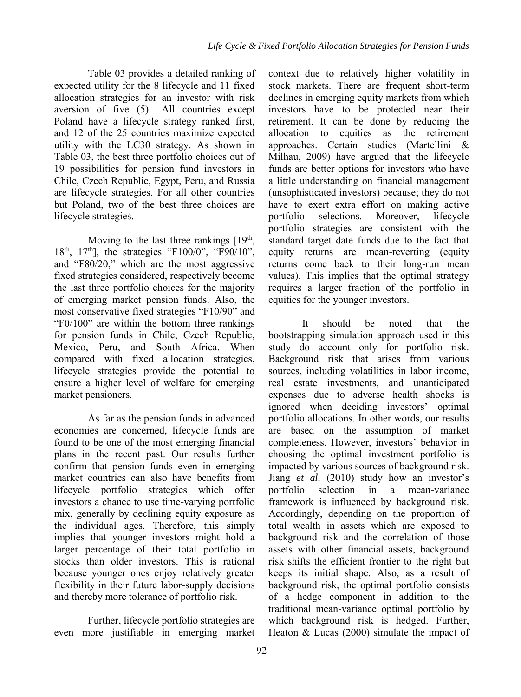Table 03 provides a detailed ranking of expected utility for the 8 lifecycle and 11 fixed allocation strategies for an investor with risk aversion of five (5). All countries except Poland have a lifecycle strategy ranked first, and 12 of the 25 countries maximize expected utility with the LC30 strategy. As shown in Table 03, the best three portfolio choices out of 19 possibilities for pension fund investors in Chile, Czech Republic, Egypt, Peru, and Russia are lifecycle strategies. For all other countries but Poland, two of the best three choices are lifecycle strategies.

Moving to the last three rankings  $[19<sup>th</sup>]$ ,  $18<sup>th</sup>$ ,  $17<sup>th</sup>$ ], the strategies "F100/0", "F90/10", and "F80/20," which are the most aggressive fixed strategies considered, respectively become the last three portfolio choices for the majority of emerging market pension funds. Also, the most conservative fixed strategies "F10/90" and "F0/100" are within the bottom three rankings for pension funds in Chile, Czech Republic, Mexico, Peru, and South Africa. When compared with fixed allocation strategies, lifecycle strategies provide the potential to ensure a higher level of welfare for emerging market pensioners.

As far as the pension funds in advanced economies are concerned, lifecycle funds are found to be one of the most emerging financial plans in the recent past. Our results further confirm that pension funds even in emerging market countries can also have benefits from lifecycle portfolio strategies which offer investors a chance to use time-varying portfolio mix, generally by declining equity exposure as the individual ages. Therefore, this simply implies that younger investors might hold a larger percentage of their total portfolio in stocks than older investors. This is rational because younger ones enjoy relatively greater flexibility in their future labor-supply decisions and thereby more tolerance of portfolio risk.

Further, lifecycle portfolio strategies are even more justifiable in emerging market

context due to relatively higher volatility in stock markets. There are frequent short-term declines in emerging equity markets from which investors have to be protected near their retirement. It can be done by reducing the allocation to equities as the retirement approaches. Certain studies (Martellini & Milhau, 2009) have argued that the lifecycle funds are better options for investors who have a little understanding on financial management (unsophisticated investors) because; they do not have to exert extra effort on making active portfolio selections. Moreover, lifecycle portfolio strategies are consistent with the standard target date funds due to the fact that equity returns are mean-reverting (equity returns come back to their long-run mean values). This implies that the optimal strategy requires a larger fraction of the portfolio in equities for the younger investors.

It should be noted that the bootstrapping simulation approach used in this study do account only for portfolio risk. Background risk that arises from various sources, including volatilities in labor income, real estate investments, and unanticipated expenses due to adverse health shocks is ignored when deciding investors' optimal portfolio allocations. In other words, our results are based on the assumption of market completeness. However, investors' behavior in choosing the optimal investment portfolio is impacted by various sources of background risk. Jiang *et al.* (2010) study how an investor's portfolio selection in a mean-variance framework is influenced by background risk. Accordingly, depending on the proportion of total wealth in assets which are exposed to background risk and the correlation of those assets with other financial assets, background risk shifts the efficient frontier to the right but keeps its initial shape. Also, as a result of background risk, the optimal portfolio consists of a hedge component in addition to the traditional mean-variance optimal portfolio by which background risk is hedged. Further, Heaton  $& Lucas (2000)$  simulate the impact of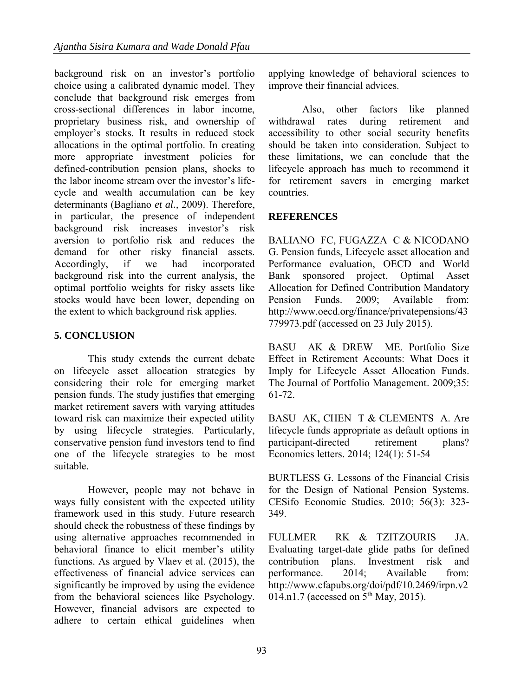background risk on an investor's portfolio choice using a calibrated dynamic model. They conclude that background risk emerges from cross-sectional differences in labor income, proprietary business risk, and ownership of employer's stocks. It results in reduced stock allocations in the optimal portfolio. In creating more appropriate investment policies for defined-contribution pension plans, shocks to the labor income stream over the investor's lifecycle and wealth accumulation can be key determinants (Bagliano *et al.,* 2009). Therefore, in particular, the presence of independent background risk increases investor's risk aversion to portfolio risk and reduces the demand for other risky financial assets. Accordingly, if we had incorporated background risk into the current analysis, the optimal portfolio weights for risky assets like stocks would have been lower, depending on the extent to which background risk applies.

# **5. CONCLUSION**

This study extends the current debate on lifecycle asset allocation strategies by considering their role for emerging market pension funds. The study justifies that emerging market retirement savers with varying attitudes toward risk can maximize their expected utility by using lifecycle strategies. Particularly, conservative pension fund investors tend to find one of the lifecycle strategies to be most suitable.

However, people may not behave in ways fully consistent with the expected utility framework used in this study. Future research should check the robustness of these findings by using alternative approaches recommended in behavioral finance to elicit member's utility functions. As argued by Vlaev et al. (2015), the effectiveness of financial advice services can significantly be improved by using the evidence from the behavioral sciences like Psychology. However, financial advisors are expected to adhere to certain ethical guidelines when applying knowledge of behavioral sciences to improve their financial advices.

Also, other factors like planned withdrawal rates during retirement and accessibility to other social security benefits should be taken into consideration. Subject to these limitations, we can conclude that the lifecycle approach has much to recommend it for retirement savers in emerging market countries.

## **REFERENCES**

BALIANO FC, FUGAZZA C & NICODANO G. Pension funds, Lifecycle asset allocation and Performance evaluation, OECD and World Bank sponsored project, Optimal Asset Allocation for Defined Contribution Mandatory Pension Funds. 2009; Available from: [http://www.oecd.org/finance/privatepensions/43](http://www.oecd.org/finance/privatepensions/43779973.pdf) [779973.pdf](http://www.oecd.org/finance/privatepensions/43779973.pdf) (accessed on 23 July 2015).

BASU AK & DREW ME. Portfolio Size Effect in Retirement Accounts: What Does it Imply for Lifecycle Asset Allocation Funds. The Journal of Portfolio Management. 2009;35: 61-72.

BASU AK, CHEN T & CLEMENTS A. Are lifecycle funds appropriate as default options in participant-directed retirement plans? Economics letters. 2014; 124(1): 51-54

BURTLESS G. [Lessons of the Financial Crisis](http://ideas.repec.org/a/oup/cesifo/v56y2010i3p323-349.html)  [for the Design of National Pension Systems.](http://ideas.repec.org/a/oup/cesifo/v56y2010i3p323-349.html) [CESifo Economic Studies.](http://ideas.repec.org/s/oup/cesifo.html) 2010; 56(3): 323- 349.

FULLMER RK & TZITZOURIS JA. Evaluating target-date glide paths for defined contribution plans. Investment risk and performance. 2014; Available from: [http://www.cfapubs.org/doi/pdf/10.2469/irpn.v2](http://www.cfapubs.org/doi/pdf/10.2469/irpn.v2014.n1.7) [014.n1.7](http://www.cfapubs.org/doi/pdf/10.2469/irpn.v2014.n1.7) (accessed on 5<sup>th</sup> May, 2015).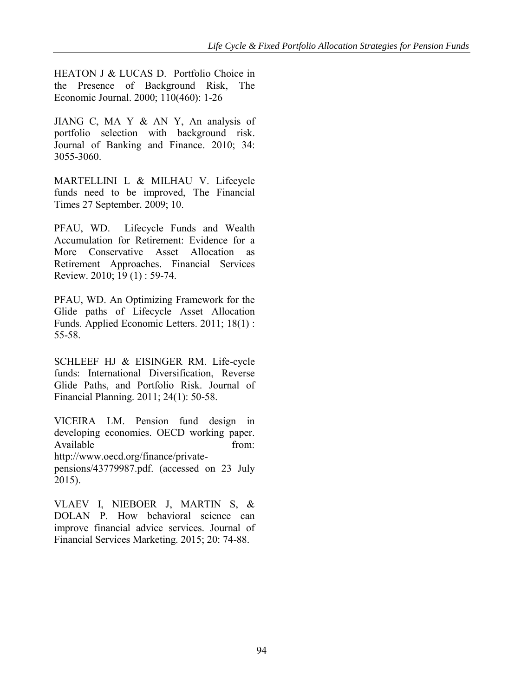HEATON J & LUCAS D. Portfolio Choice in the Presence of Background Risk, The Economic Journal. 2000; 110(460): 1-26

JIANG C, MA Y & AN Y, An analysis of portfolio selection with background risk. Journal of Banking and Finance. 2010; 34: 3055-3060.

MARTELLINI L & MILHAU V. Lifecycle funds need to be improved, The Financial Times 27 September*.* 2009; 10.

PFAU, WD. Lifecycle Funds and Wealth Accumulation for Retirement: Evidence for a More Conservative Asset Allocation as Retirement Approaches. Financial Services Review. 2010; 19 (1) : 59-74.

PFAU, WD. An Optimizing Framework for the Glide paths of Lifecycle Asset Allocation Funds. Applied Economic Letters. 2011; 18(1) : 55-58.

SCHLEEF HJ & EISINGER RM. Life-cycle funds: International Diversification, Reverse Glide Paths, and Portfolio Risk. Journal of Financial Planning. 2011; 24(1): 50-58.

VICEIRA LM. Pension fund design in developing economies. OECD working paper. Available from: [http://www.oecd.org/finance/private](http://www.oecd.org/finance/private-pensions/43779987.pdf)[pensions/43779987.pdf.](http://www.oecd.org/finance/private-pensions/43779987.pdf) (accessed on 23 July 2015).

VLAEV I, NIEBOER J, MARTIN S, & DOLAN P. How behavioral science can improve financial advice services. Journal of Financial Services Marketing. 2015; 20: 74-88.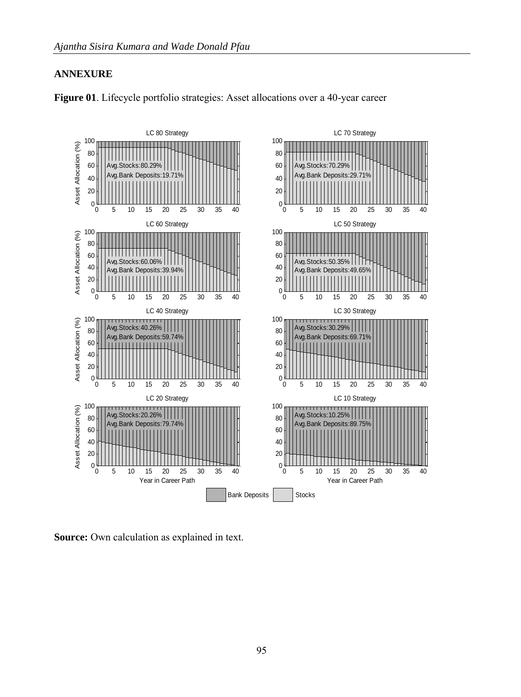### **ANNEXURE**



**Figure 01**. Lifecycle portfolio strategies: Asset allocations over a 40-year career

**Source:** Own calculation as explained in text.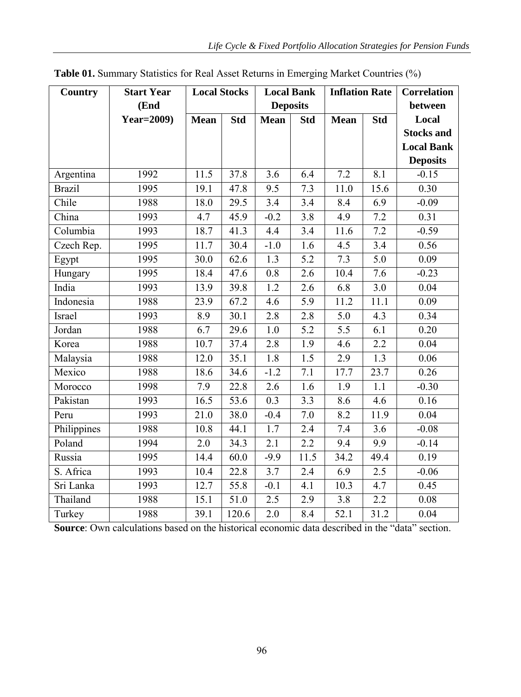| <b>Country</b> | <b>Start Year</b> | <b>Local Stocks</b> |            | <b>Local Bank</b> |                  | <b>Inflation Rate</b> |                  | Correlation       |
|----------------|-------------------|---------------------|------------|-------------------|------------------|-----------------------|------------------|-------------------|
|                | (End              | <b>Deposits</b>     |            |                   |                  | between               |                  |                   |
|                | <b>Year=2009)</b> | <b>Mean</b>         | <b>Std</b> | <b>Mean</b>       | <b>Std</b>       | <b>Mean</b>           | <b>Std</b>       | Local             |
|                |                   |                     |            |                   |                  |                       |                  | <b>Stocks and</b> |
|                |                   |                     |            |                   |                  |                       |                  | <b>Local Bank</b> |
|                |                   |                     |            |                   |                  |                       |                  | <b>Deposits</b>   |
| Argentina      | 1992              | 11.5                | 37.8       | $\overline{3.6}$  | 6.4              | 7.2                   | 8.1              | $-0.15$           |
| <b>Brazil</b>  | 1995              | 19.1                | 47.8       | 9.5               | 7.3              | 11.0                  | 15.6             | 0.30              |
| Chile          | 1988              | 18.0                | 29.5       | $\overline{3}$ .4 | 3.4              | 8.4                   | 6.9              | $-0.09$           |
| China          | 1993              | 4.7                 | 45.9       | $-0.2$            | 3.8              | 4.9                   | 7.2              | 0.31              |
| Columbia       | 1993              | 18.7                | 41.3       | 4.4               | 3.4              | 11.6                  | 7.2              | $-0.59$           |
| Czech Rep.     | 1995              | 11.7                | 30.4       | $-1.0$            | 1.6              | 4.5                   | 3.4              | 0.56              |
| Egypt          | 1995              | 30.0                | 62.6       | 1.3               | 5.2              | 7.3                   | 5.0              | 0.09              |
| Hungary        | 1995              | 18.4                | 47.6       | 0.8               | 2.6              | 10.4                  | 7.6              | $-0.23$           |
| India          | 1993              | 13.9                | 39.8       | 1.2               | 2.6              | 6.8                   | 3.0              | 0.04              |
| Indonesia      | 1988              | 23.9                | 67.2       | 4.6               | 5.9              | 11.2                  | 11.1             | 0.09              |
| Israel         | 1993              | 8.9                 | 30.1       | 2.8               | 2.8              | 5.0                   | 4.3              | 0.34              |
| Jordan         | 1988              | 6.7                 | 29.6       | 1.0               | 5.2              | 5.5                   | 6.1              | 0.20              |
| Korea          | 1988              | 10.7                | 37.4       | 2.8               | $\overline{1.9}$ | 4.6                   | $\overline{2.2}$ | 0.04              |
| Malaysia       | 1988              | 12.0                | 35.1       | 1.8               | 1.5              | 2.9                   | 1.3              | 0.06              |
| Mexico         | 1988              | 18.6                | 34.6       | $-1.2$            | 7.1              | 17.7                  | 23.7             | 0.26              |
| Morocco        | 1998              | 7.9                 | 22.8       | 2.6               | 1.6              | 1.9                   | 1.1              | $-0.30$           |
| Pakistan       | 1993              | 16.5                | 53.6       | 0.3               | 3.3              | 8.6                   | 4.6              | 0.16              |
| Peru           | 1993              | 21.0                | 38.0       | $-0.4$            | 7.0              | 8.2                   | 11.9             | 0.04              |
| Philippines    | 1988              | 10.8                | 44.1       | 1.7               | 2.4              | 7.4                   | 3.6              | $-0.08$           |
| Poland         | 1994              | $\overline{2.0}$    | 34.3       | 2.1               | 2.2              | $\overline{9.4}$      | $\overline{9.9}$ | $-0.14$           |
| Russia         | 1995              | 14.4                | 60.0       | $-9.9$            | 11.5             | $\overline{3}4.2$     | 49.4             | 0.19              |
| S. Africa      | 1993              | 10.4                | 22.8       | $\overline{3.7}$  | 2.4              | 6.9                   | 2.5              | $-0.06$           |
| Sri Lanka      | 1993              | 12.7                | 55.8       | $-0.1$            | 4.1              | 10.3                  | 4.7              | 0.45              |
| Thailand       | 1988              | 15.1                | 51.0       | 2.5               | 2.9              | 3.8                   | 2.2              | 0.08              |
| Turkey         | 1988              | 39.1                | 120.6      | 2.0               | 8.4              | $\overline{52.1}$     | 31.2             | 0.04              |

**Table 01.** Summary Statistics for Real Asset Returns in Emerging Market Countries (%)

**Source**: Own calculations based on the historical economic data described in the "data" section.